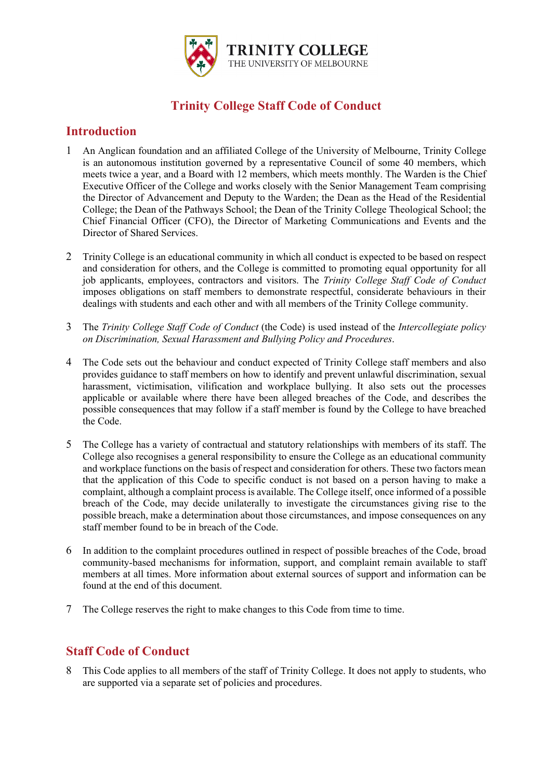

# **Trinity College Staff Code of Conduct**

## **Introduction**

- 1 An Anglican foundation and an affiliated College of the University of Melbourne, Trinity College is an autonomous institution governed by a representative Council of some 40 members, which meets twice a year, and a Board with 12 members, which meets monthly. The Warden is the Chief Executive Officer of the College and works closely with the Senior Management Team comprising the Director of Advancement and Deputy to the Warden; the Dean as the Head of the Residential College; the Dean of the Pathways School; the Dean of the Trinity College Theological School; the Chief Financial Officer (CFO), the Director of Marketing Communications and Events and the Director of Shared Services.
- 2 Trinity College is an educational community in which all conduct is expected to be based on respect and consideration for others, and the College is committed to promoting equal opportunity for all job applicants, employees, contractors and visitors. The *Trinity College Staff Code of Conduct* imposes obligations on staff members to demonstrate respectful, considerate behaviours in their dealings with students and each other and with all members of the Trinity College community.
- 3 The *Trinity College Staff Code of Conduct* (the Code) is used instead of the *Intercollegiate policy on Discrimination, Sexual Harassment and Bullying Policy and Procedures*.
- 4 The Code sets out the behaviour and conduct expected of Trinity College staff members and also provides guidance to staff members on how to identify and prevent unlawful discrimination, sexual harassment, victimisation, vilification and workplace bullying. It also sets out the processes applicable or available where there have been alleged breaches of the Code, and describes the possible consequences that may follow if a staff member is found by the College to have breached the Code.
- 5 The College has a variety of contractual and statutory relationships with members of its staff. The College also recognises a general responsibility to ensure the College as an educational community and workplace functions on the basis of respect and consideration for others. These two factors mean that the application of this Code to specific conduct is not based on a person having to make a complaint, although a complaint process is available. The College itself, once informed of a possible breach of the Code, may decide unilaterally to investigate the circumstances giving rise to the possible breach, make a determination about those circumstances, and impose consequences on any staff member found to be in breach of the Code.
- 6 In addition to the complaint procedures outlined in respect of possible breaches of the Code, broad community-based mechanisms for information, support, and complaint remain available to staff members at all times. More information about external sources of support and information can be found at the end of this document.
- 7 The College reserves the right to make changes to this Code from time to time.

## **Staff Code of Conduct**

8 This Code applies to all members of the staff of Trinity College. It does not apply to students, who are supported via a separate set of policies and procedures.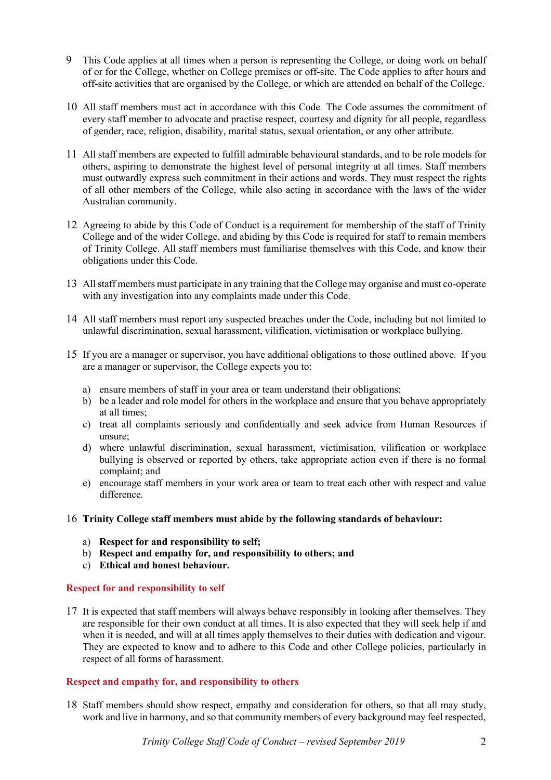- 9 This Code applies at all times when a person is representing the College, or doing work on behalf of or for the College, whether on College premises or off-site. The Code applies to after hours and off-site activities that are organised by the College, or which are attended on behalf of the College.
- 10 All staff members must act in accordance with this Code*.* The Code assumes the commitment of every staff member to advocate and practise respect, courtesy and dignity for all people, regardless of gender, race, religion, disability, marital status, sexual orientation, or any other attribute.
- 11 All staff members are expected to fulfill admirable behavioural standards, and to be role models for others, aspiring to demonstrate the highest level of personal integrity at all times. Staff members must outwardly express such commitment in their actions and words. They must respect the rights of all other members of the College, while also acting in accordance with the laws of the wider Australian community.
- 12 Agreeing to abide by this Code of Conduct is a requirement for membership of the staff of Trinity College and of the wider College, and abiding by this Code is required for staff to remain members of Trinity College. All staff members must familiarise themselves with this Code, and know their obligations under this Code.
- 13 All staff members must participate in any training that the College may organise and must co-operate with any investigation into any complaints made under this Code.
- 14 All staff members must report any suspected breaches under the Code, including but not limited to unlawful discrimination, sexual harassment, vilification, victimisation or workplace bullying.
- 15 If you are a manager or supervisor, you have additional obligations to those outlined above. If you are a manager or supervisor, the College expects you to:
	- a) ensure members of staff in your area or team understand their obligations;
	- b) be a leader and role model for others in the workplace and ensure that you behave appropriately at all times;
	- c) treat all complaints seriously and confidentially and seek advice from Human Resources if unsure;
	- d) where unlawful discrimination, sexual harassment, victimisation, vilification or workplace bullying is observed or reported by others, take appropriate action even if there is no formal complaint; and
	- e) encourage staff members in your work area or team to treat each other with respect and value difference.

## 16 **Trinity College staff members must abide by the following standards of behaviour:**

- a) **Respect for and responsibility to self;**
- b) **Respect and empathy for, and responsibility to others; and**
- c) **Ethical and honest behaviour.**

## **Respect for and responsibility to self**

17 It is expected that staff members will always behave responsibly in looking after themselves. They are responsible for their own conduct at all times. It is also expected that they will seek help if and when it is needed, and will at all times apply themselves to their duties with dedication and vigour. They are expected to know and to adhere to this Code and other College policies, particularly in respect of all forms of harassment.

#### **Respect and empathy for, and responsibility to others**

18 Staff members should show respect, empathy and consideration for others, so that all may study, work and live in harmony, and so that community members of every background may feel respected,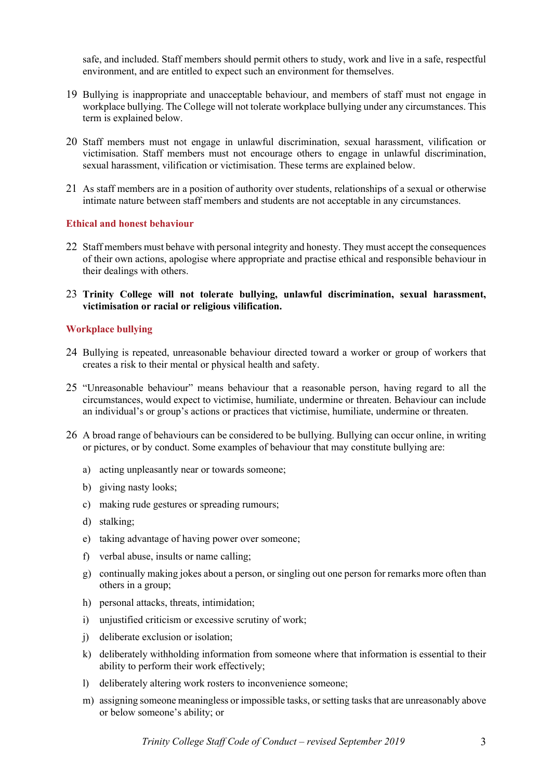safe, and included. Staff members should permit others to study, work and live in a safe, respectful environment, and are entitled to expect such an environment for themselves.

- 19 Bullying is inappropriate and unacceptable behaviour, and members of staff must not engage in workplace bullying. The College will not tolerate workplace bullying under any circumstances. This term is explained below.
- 20 Staff members must not engage in unlawful discrimination, sexual harassment, vilification or victimisation. Staff members must not encourage others to engage in unlawful discrimination, sexual harassment, vilification or victimisation. These terms are explained below.
- 21 As staff members are in a position of authority over students, relationships of a sexual or otherwise intimate nature between staff members and students are not acceptable in any circumstances.

#### **Ethical and honest behaviour**

- 22 Staff members must behave with personal integrity and honesty. They must accept the consequences of their own actions, apologise where appropriate and practise ethical and responsible behaviour in their dealings with others.
- 23 **Trinity College will not tolerate bullying, unlawful discrimination, sexual harassment, victimisation or racial or religious vilification.**

### **Workplace bullying**

- 24 Bullying is repeated, unreasonable behaviour directed toward a worker or group of workers that creates a risk to their mental or physical health and safety.
- 25 "Unreasonable behaviour" means behaviour that a reasonable person, having regard to all the circumstances, would expect to victimise, humiliate, undermine or threaten. Behaviour can include an individual's or group's actions or practices that victimise, humiliate, undermine or threaten.
- 26 A broad range of behaviours can be considered to be bullying. Bullying can occur online, in writing or pictures, or by conduct. Some examples of behaviour that may constitute bullying are:
	- a) acting unpleasantly near or towards someone;
	- b) giving nasty looks;
	- c) making rude gestures or spreading rumours;
	- d) stalking;
	- e) taking advantage of having power over someone;
	- f) verbal abuse, insults or name calling;
	- g) continually making jokes about a person, or singling out one person for remarks more often than others in a group;
	- h) personal attacks, threats, intimidation;
	- i) unjustified criticism or excessive scrutiny of work;
	- j) deliberate exclusion or isolation;
	- k) deliberately withholding information from someone where that information is essential to their ability to perform their work effectively;
	- l) deliberately altering work rosters to inconvenience someone;
	- m) assigning someone meaningless or impossible tasks, or setting tasks that are unreasonably above or below someone's ability; or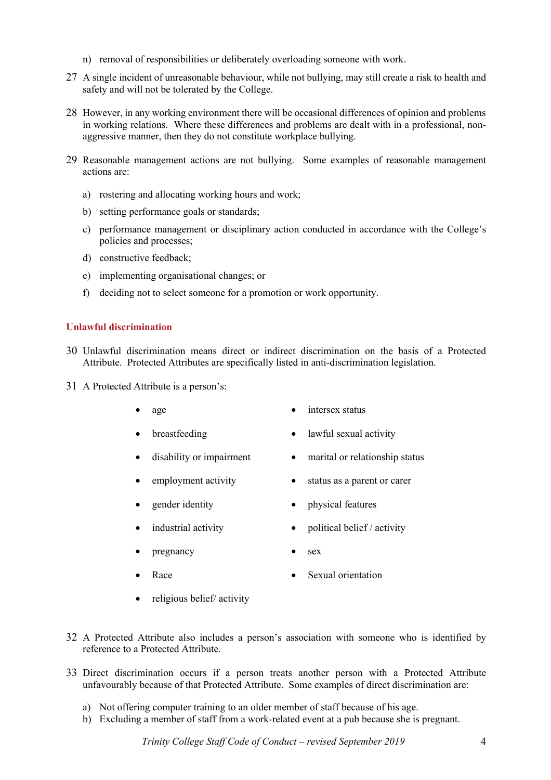- n) removal of responsibilities or deliberately overloading someone with work.
- 27 A single incident of unreasonable behaviour, while not bullying, may still create a risk to health and safety and will not be tolerated by the College.
- 28 However, in any working environment there will be occasional differences of opinion and problems in working relations. Where these differences and problems are dealt with in a professional, nonaggressive manner, then they do not constitute workplace bullying.
- 29 Reasonable management actions are not bullying. Some examples of reasonable management actions are:
	- a) rostering and allocating working hours and work;
	- b) setting performance goals or standards;
	- c) performance management or disciplinary action conducted in accordance with the College's policies and processes;
	- d) constructive feedback;
	- e) implementing organisational changes; or
	- f) deciding not to select someone for a promotion or work opportunity.

### **Unlawful discrimination**

- 30 Unlawful discrimination means direct or indirect discrimination on the basis of a Protected Attribute. Protected Attributes are specifically listed in anti-discrimination legislation.
- 31 A Protected Attribute is a person's:
	- age **•** intersex status
		- breastfeeding lawful sexual activity
	- disability or impairment marital or relationship status
	- employment activity status as a parent or carer
	- gender identity physical features
		- industrial activity political belief / activity
			- pregnancy sex
	- - Race **•** Sexual orientation
	- religious belief/ activity
- 32 A Protected Attribute also includes a person's association with someone who is identified by reference to a Protected Attribute.
- 33 Direct discrimination occurs if a person treats another person with a Protected Attribute unfavourably because of that Protected Attribute. Some examples of direct discrimination are:
	- a) Not offering computer training to an older member of staff because of his age.
	- b) Excluding a member of staff from a work-related event at a pub because she is pregnant.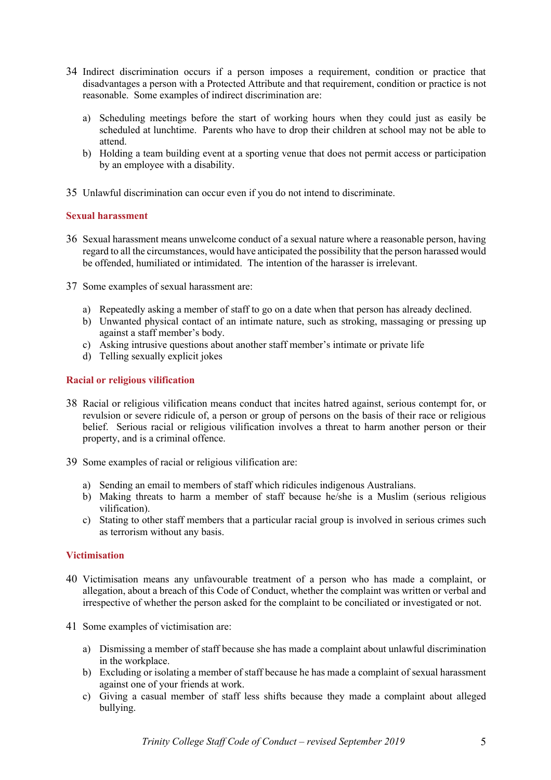- 34 Indirect discrimination occurs if a person imposes a requirement, condition or practice that disadvantages a person with a Protected Attribute and that requirement, condition or practice is not reasonable. Some examples of indirect discrimination are:
	- a) Scheduling meetings before the start of working hours when they could just as easily be scheduled at lunchtime. Parents who have to drop their children at school may not be able to attend.
	- b) Holding a team building event at a sporting venue that does not permit access or participation by an employee with a disability.
- 35 Unlawful discrimination can occur even if you do not intend to discriminate.

### **Sexual harassment**

- 36 Sexual harassment means unwelcome conduct of a sexual nature where a reasonable person, having regard to all the circumstances, would have anticipated the possibility that the person harassed would be offended, humiliated or intimidated. The intention of the harasser is irrelevant.
- 37 Some examples of sexual harassment are:
	- a) Repeatedly asking a member of staff to go on a date when that person has already declined.
	- b) Unwanted physical contact of an intimate nature, such as stroking, massaging or pressing up against a staff member's body.
	- c) Asking intrusive questions about another staff member's intimate or private life
	- d) Telling sexually explicit jokes

## **Racial or religious vilification**

- 38 Racial or religious vilification means conduct that incites hatred against, serious contempt for, or revulsion or severe ridicule of, a person or group of persons on the basis of their race or religious belief. Serious racial or religious vilification involves a threat to harm another person or their property, and is a criminal offence.
- 39 Some examples of racial or religious vilification are:
	- a) Sending an email to members of staff which ridicules indigenous Australians.
	- b) Making threats to harm a member of staff because he/she is a Muslim (serious religious vilification).
	- c) Stating to other staff members that a particular racial group is involved in serious crimes such as terrorism without any basis.

#### **Victimisation**

- 40 Victimisation means any unfavourable treatment of a person who has made a complaint, or allegation, about a breach of this Code of Conduct, whether the complaint was written or verbal and irrespective of whether the person asked for the complaint to be conciliated or investigated or not.
- 41 Some examples of victimisation are:
	- a) Dismissing a member of staff because she has made a complaint about unlawful discrimination in the workplace.
	- b) Excluding or isolating a member of staff because he has made a complaint of sexual harassment against one of your friends at work.
	- c) Giving a casual member of staff less shifts because they made a complaint about alleged bullying.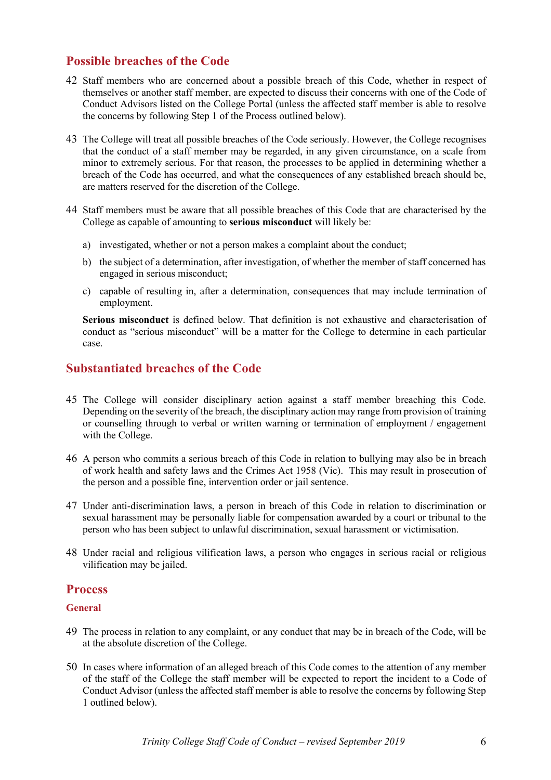# **Possible breaches of the Code**

- 42 Staff members who are concerned about a possible breach of this Code, whether in respect of themselves or another staff member, are expected to discuss their concerns with one of the Code of Conduct Advisors listed on the College Portal (unless the affected staff member is able to resolve the concerns by following Step 1 of the Process outlined below).
- 43 The College will treat all possible breaches of the Code seriously. However, the College recognises that the conduct of a staff member may be regarded, in any given circumstance, on a scale from minor to extremely serious. For that reason, the processes to be applied in determining whether a breach of the Code has occurred, and what the consequences of any established breach should be, are matters reserved for the discretion of the College.
- 44 Staff members must be aware that all possible breaches of this Code that are characterised by the College as capable of amounting to **serious misconduct** will likely be:
	- a) investigated, whether or not a person makes a complaint about the conduct;
	- b) the subject of a determination, after investigation, of whether the member of staff concerned has engaged in serious misconduct;
	- c) capable of resulting in, after a determination, consequences that may include termination of employment.

**Serious misconduct** is defined below. That definition is not exhaustive and characterisation of conduct as "serious misconduct" will be a matter for the College to determine in each particular case.

## **Substantiated breaches of the Code**

- 45 The College will consider disciplinary action against a staff member breaching this Code. Depending on the severity of the breach, the disciplinary action may range from provision of training or counselling through to verbal or written warning or termination of employment / engagement with the College.
- 46 A person who commits a serious breach of this Code in relation to bullying may also be in breach of work health and safety laws and the Crimes Act 1958 (Vic). This may result in prosecution of the person and a possible fine, intervention order or jail sentence.
- 47 Under anti-discrimination laws, a person in breach of this Code in relation to discrimination or sexual harassment may be personally liable for compensation awarded by a court or tribunal to the person who has been subject to unlawful discrimination, sexual harassment or victimisation.
- 48 Under racial and religious vilification laws, a person who engages in serious racial or religious vilification may be jailed.

## **Process**

## **General**

- 49 The process in relation to any complaint, or any conduct that may be in breach of the Code, will be at the absolute discretion of the College.
- 50 In cases where information of an alleged breach of this Code comes to the attention of any member of the staff of the College the staff member will be expected to report the incident to a Code of Conduct Advisor (unless the affected staff member is able to resolve the concerns by following Step 1 outlined below).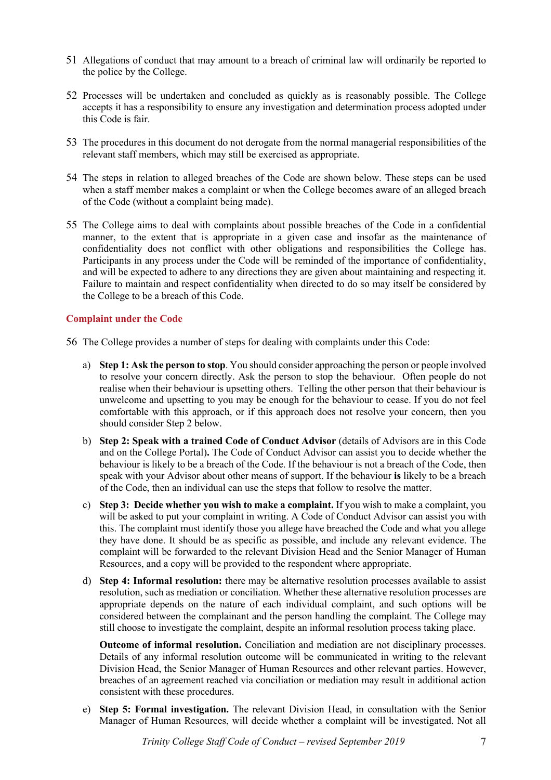- 51 Allegations of conduct that may amount to a breach of criminal law will ordinarily be reported to the police by the College.
- 52 Processes will be undertaken and concluded as quickly as is reasonably possible. The College accepts it has a responsibility to ensure any investigation and determination process adopted under this Code is fair.
- 53 The procedures in this document do not derogate from the normal managerial responsibilities of the relevant staff members, which may still be exercised as appropriate.
- 54 The steps in relation to alleged breaches of the Code are shown below. These steps can be used when a staff member makes a complaint or when the College becomes aware of an alleged breach of the Code (without a complaint being made).
- 55 The College aims to deal with complaints about possible breaches of the Code in a confidential manner, to the extent that is appropriate in a given case and insofar as the maintenance of confidentiality does not conflict with other obligations and responsibilities the College has. Participants in any process under the Code will be reminded of the importance of confidentiality, and will be expected to adhere to any directions they are given about maintaining and respecting it. Failure to maintain and respect confidentiality when directed to do so may itself be considered by the College to be a breach of this Code.

### **Complaint under the Code**

- 56 The College provides a number of steps for dealing with complaints under this Code:
	- a) **Step 1: Ask the person to stop**. You should consider approaching the person or people involved to resolve your concern directly. Ask the person to stop the behaviour. Often people do not realise when their behaviour is upsetting others. Telling the other person that their behaviour is unwelcome and upsetting to you may be enough for the behaviour to cease. If you do not feel comfortable with this approach, or if this approach does not resolve your concern, then you should consider Step 2 below.
	- b) **Step 2: Speak with a trained Code of Conduct Advisor** (details of Advisors are in this Code and on the College Portal)**.** The Code of Conduct Advisor can assist you to decide whether the behaviour is likely to be a breach of the Code. If the behaviour is not a breach of the Code, then speak with your Advisor about other means of support. If the behaviour **is** likely to be a breach of the Code, then an individual can use the steps that follow to resolve the matter.
	- c) **Step 3: Decide whether you wish to make a complaint.** If you wish to make a complaint, you will be asked to put your complaint in writing. A Code of Conduct Advisor can assist you with this. The complaint must identify those you allege have breached the Code and what you allege they have done. It should be as specific as possible, and include any relevant evidence. The complaint will be forwarded to the relevant Division Head and the Senior Manager of Human Resources, and a copy will be provided to the respondent where appropriate.
	- d) **Step 4: Informal resolution:** there may be alternative resolution processes available to assist resolution, such as mediation or conciliation. Whether these alternative resolution processes are appropriate depends on the nature of each individual complaint, and such options will be considered between the complainant and the person handling the complaint. The College may still choose to investigate the complaint, despite an informal resolution process taking place.

**Outcome of informal resolution.** Conciliation and mediation are not disciplinary processes. Details of any informal resolution outcome will be communicated in writing to the relevant Division Head, the Senior Manager of Human Resources and other relevant parties. However, breaches of an agreement reached via conciliation or mediation may result in additional action consistent with these procedures.

e) **Step 5: Formal investigation.** The relevant Division Head, in consultation with the Senior Manager of Human Resources, will decide whether a complaint will be investigated. Not all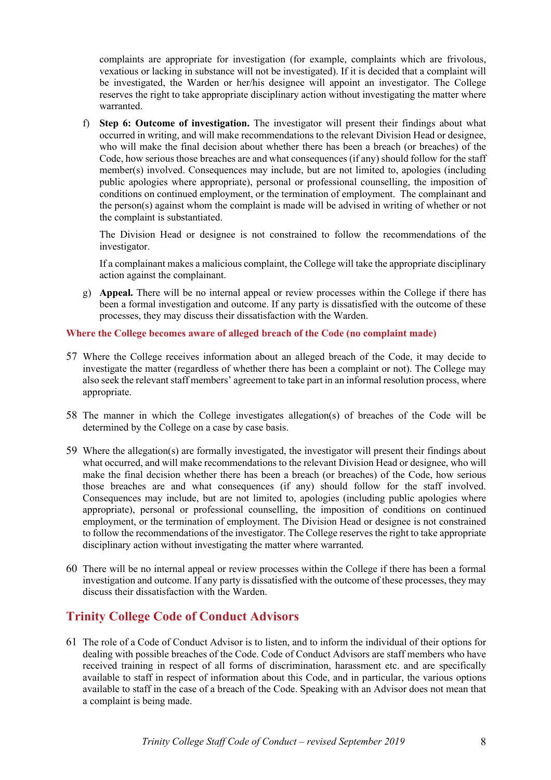complaints are appropriate for investigation (for example, complaints which are frivolous, vexatious or lacking in substance will not be investigated). If it is decided that a complaint will be investigated, the Warden or her/his designee will appoint an investigator. The College reserves the right to take appropriate disciplinary action without investigating the matter where warranted.

f) **Step 6: Outcome of investigation.** The investigator will present their findings about what occurred in writing, and will make recommendations to the relevant Division Head or designee, who will make the final decision about whether there has been a breach (or breaches) of the Code, how serious those breaches are and what consequences (if any) should follow for the staff member(s) involved. Consequences may include, but are not limited to, apologies (including public apologies where appropriate), personal or professional counselling, the imposition of conditions on continued employment, or the termination of employment. The complainant and the person(s) against whom the complaint is made will be advised in writing of whether or not the complaint is substantiated.

The Division Head or designee is not constrained to follow the recommendations of the investigator.

If a complainant makes a malicious complaint, the College will take the appropriate disciplinary action against the complainant.

g) **Appeal.** There will be no internal appeal or review processes within the College if there has been a formal investigation and outcome. If any party is dissatisfied with the outcome of these processes, they may discuss their dissatisfaction with the Warden.

### **Where the College becomes aware of alleged breach of the Code (no complaint made)**

- 57 Where the College receives information about an alleged breach of the Code, it may decide to investigate the matter (regardless of whether there has been a complaint or not). The College may also seek the relevant staff members' agreement to take part in an informal resolution process, where appropriate.
- 58 The manner in which the College investigates allegation(s) of breaches of the Code will be determined by the College on a case by case basis.
- 59 Where the allegation(s) are formally investigated, the investigator will present their findings about what occurred, and will make recommendations to the relevant Division Head or designee, who will make the final decision whether there has been a breach (or breaches) of the Code, how serious those breaches are and what consequences (if any) should follow for the staff involved. Consequences may include, but are not limited to, apologies (including public apologies where appropriate), personal or professional counselling, the imposition of conditions on continued employment, or the termination of employment. The Division Head or designee is not constrained to follow the recommendations of the investigator. The College reserves the right to take appropriate disciplinary action without investigating the matter where warranted.
- 60 There will be no internal appeal or review processes within the College if there has been a formal investigation and outcome. If any party is dissatisfied with the outcome of these processes, they may discuss their dissatisfaction with the Warden.

# **Trinity College Code of Conduct Advisors**

61 The role of a Code of Conduct Advisor is to listen, and to inform the individual of their options for dealing with possible breaches of the Code. Code of Conduct Advisors are staff members who have received training in respect of all forms of discrimination, harassment etc. and are specifically available to staff in respect of information about this Code, and in particular, the various options available to staff in the case of a breach of the Code. Speaking with an Advisor does not mean that a complaint is being made.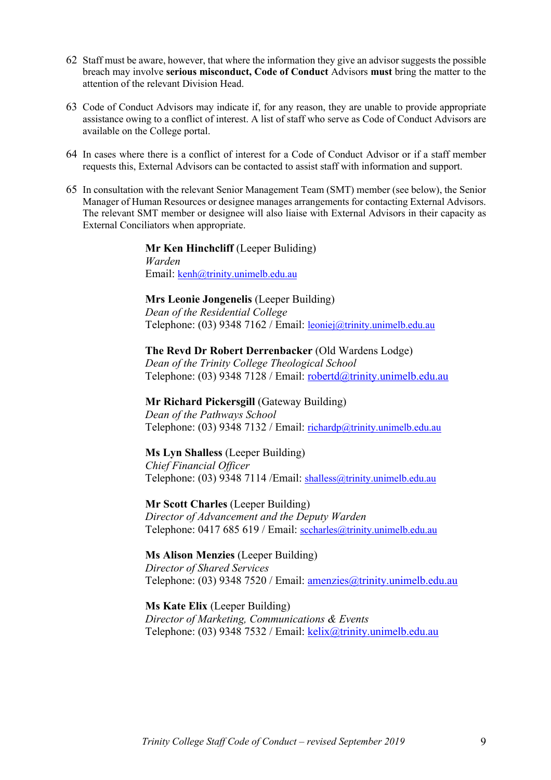- 62 Staff must be aware, however, that where the information they give an advisor suggests the possible breach may involve **serious misconduct, Code of Conduct** Advisors **must** bring the matter to the attention of the relevant Division Head.
- 63 Code of Conduct Advisors may indicate if, for any reason, they are unable to provide appropriate assistance owing to a conflict of interest. A list of staff who serve as Code of Conduct Advisors are available on the College portal.
- 64 In cases where there is a conflict of interest for a Code of Conduct Advisor or if a staff member requests this, External Advisors can be contacted to assist staff with information and support.
- 65 In consultation with the relevant Senior Management Team (SMT) member (see below), the Senior Manager of Human Resources or designee manages arrangements for contacting External Advisors. The relevant SMT member or designee will also liaise with External Advisors in their capacity as External Conciliators when appropriate.

**Mr Ken Hinchcliff** (Leeper Buliding) *Warden* Email: kenh@trinity.unimelb.edu.au

### **Mrs Leonie Jongenelis** (Leeper Building)

*Dean of the Residential College* Telephone: (03) 9348 7162 / Email: leoniej@trinity.unimelb.edu.au

### **The Revd Dr Robert Derrenbacker** (Old Wardens Lodge)

*Dean of the Trinity College Theological School* Telephone: (03) 9348 7128 / Email: robertd@trinity.unimelb.edu.au

**Mr Richard Pickersgill** (Gateway Building) *Dean of the Pathways School* Telephone: (03) 9348 7132 / Email: richardp@trinity.unimelb.edu.au

## **Ms Lyn Shalless** (Leeper Building)

*Chief Financial Officer* Telephone: (03) 9348 7114 /Email: shalless@trinity.unimelb.edu.au

**Mr Scott Charles** (Leeper Building) *Director of Advancement and the Deputy Warden* Telephone: 0417 685 619 / Email: sccharles@trinity.unimelb.edu.au

**Ms Alison Menzies** (Leeper Building) *Director of Shared Services* Telephone: (03) 9348 7520 / Email: amenzies@trinity.unimelb.edu.au

## **Ms Kate Elix** (Leeper Building)

*Director of Marketing, Communications & Events* Telephone: (03) 9348 7532 / Email: kelix@trinity.unimelb.edu.au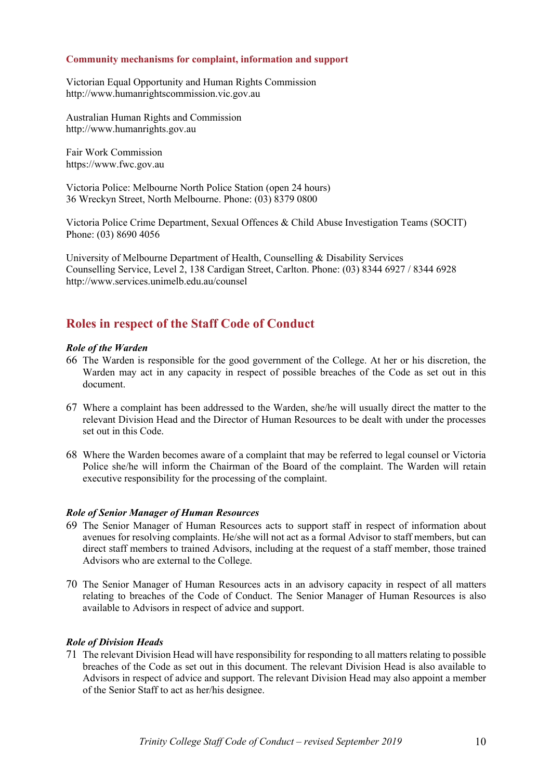#### **Community mechanisms for complaint, information and support**

Victorian Equal Opportunity and Human Rights Commission http://www.humanrightscommission.vic.gov.au

Australian Human Rights and Commission http://www.humanrights.gov.au

Fair Work Commission https://www.fwc.gov.au

Victoria Police: Melbourne North Police Station (open 24 hours) 36 Wreckyn Street, North Melbourne. Phone: (03) 8379 0800

Victoria Police Crime Department, Sexual Offences & Child Abuse Investigation Teams (SOCIT) Phone: (03) 8690 4056

University of Melbourne Department of Health, Counselling & Disability Services Counselling Service, Level 2, 138 Cardigan Street, Carlton. Phone: (03) 8344 6927 / 8344 6928 http://www.services.unimelb.edu.au/counsel

# **Roles in respect of the Staff Code of Conduct**

### *Role of the Warden*

- 66 The Warden is responsible for the good government of the College. At her or his discretion, the Warden may act in any capacity in respect of possible breaches of the Code as set out in this document.
- 67 Where a complaint has been addressed to the Warden, she/he will usually direct the matter to the relevant Division Head and the Director of Human Resources to be dealt with under the processes set out in this Code.
- 68 Where the Warden becomes aware of a complaint that may be referred to legal counsel or Victoria Police she/he will inform the Chairman of the Board of the complaint. The Warden will retain executive responsibility for the processing of the complaint.

## *Role of Senior Manager of Human Resources*

- 69 The Senior Manager of Human Resources acts to support staff in respect of information about avenues for resolving complaints. He/she will not act as a formal Advisor to staff members, but can direct staff members to trained Advisors, including at the request of a staff member, those trained Advisors who are external to the College.
- 70 The Senior Manager of Human Resources acts in an advisory capacity in respect of all matters relating to breaches of the Code of Conduct. The Senior Manager of Human Resources is also available to Advisors in respect of advice and support.

## *Role of Division Heads*

71 The relevant Division Head will have responsibility for responding to all matters relating to possible breaches of the Code as set out in this document. The relevant Division Head is also available to Advisors in respect of advice and support. The relevant Division Head may also appoint a member of the Senior Staff to act as her/his designee.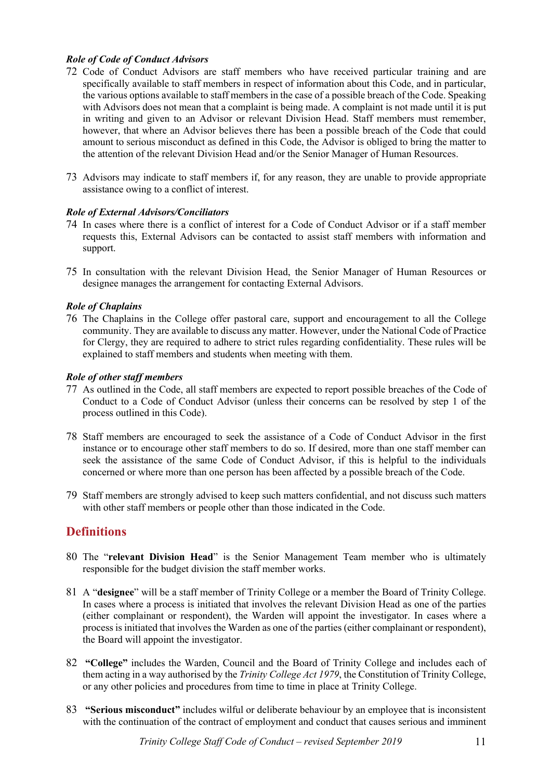## *Role of Code of Conduct Advisors*

- 72 Code of Conduct Advisors are staff members who have received particular training and are specifically available to staff members in respect of information about this Code, and in particular, the various options available to staff members in the case of a possible breach of the Code. Speaking with Advisors does not mean that a complaint is being made. A complaint is not made until it is put in writing and given to an Advisor or relevant Division Head. Staff members must remember, however, that where an Advisor believes there has been a possible breach of the Code that could amount to serious misconduct as defined in this Code, the Advisor is obliged to bring the matter to the attention of the relevant Division Head and/or the Senior Manager of Human Resources.
- 73 Advisors may indicate to staff members if, for any reason, they are unable to provide appropriate assistance owing to a conflict of interest.

## *Role of External Advisors/Conciliators*

- 74 In cases where there is a conflict of interest for a Code of Conduct Advisor or if a staff member requests this, External Advisors can be contacted to assist staff members with information and support.
- 75 In consultation with the relevant Division Head, the Senior Manager of Human Resources or designee manages the arrangement for contacting External Advisors.

## *Role of Chaplains*

76 The Chaplains in the College offer pastoral care, support and encouragement to all the College community. They are available to discuss any matter. However, under the National Code of Practice for Clergy, they are required to adhere to strict rules regarding confidentiality. These rules will be explained to staff members and students when meeting with them.

## *Role of other staff members*

- 77 As outlined in the Code, all staff members are expected to report possible breaches of the Code of Conduct to a Code of Conduct Advisor (unless their concerns can be resolved by step 1 of the process outlined in this Code).
- 78 Staff members are encouraged to seek the assistance of a Code of Conduct Advisor in the first instance or to encourage other staff members to do so. If desired, more than one staff member can seek the assistance of the same Code of Conduct Advisor, if this is helpful to the individuals concerned or where more than one person has been affected by a possible breach of the Code.
- 79 Staff members are strongly advised to keep such matters confidential, and not discuss such matters with other staff members or people other than those indicated in the Code.

# **Definitions**

- 80 The "**relevant Division Head**" is the Senior Management Team member who is ultimately responsible for the budget division the staff member works.
- 81 A "**designee**" will be a staff member of Trinity College or a member the Board of Trinity College. In cases where a process is initiated that involves the relevant Division Head as one of the parties (either complainant or respondent), the Warden will appoint the investigator. In cases where a process is initiated that involves the Warden as one of the parties (either complainant or respondent), the Board will appoint the investigator.
- 82 **"College"** includes the Warden, Council and the Board of Trinity College and includes each of them acting in a way authorised by the *Trinity College Act 1979*, the Constitution of Trinity College, or any other policies and procedures from time to time in place at Trinity College.
- 83 **"Serious misconduct"** includes wilful or deliberate behaviour by an employee that is inconsistent with the continuation of the contract of employment and conduct that causes serious and imminent